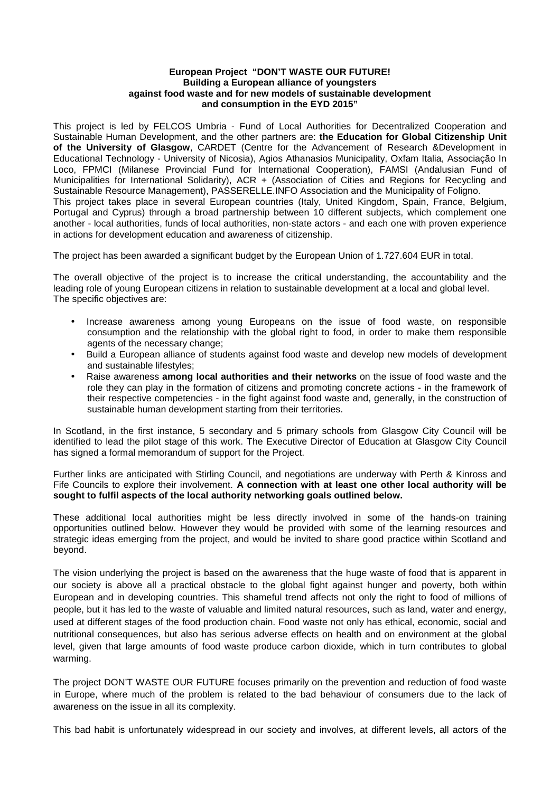#### **European Project "DON'T WASTE OUR FUTURE! Building a European alliance of youngsters against food waste and for new models of sustainable development and consumption in the EYD 2015"**

This project is led by FELCOS Umbria - Fund of Local Authorities for Decentralized Cooperation and Sustainable Human Development, and the other partners are: **the Education for Global Citizenship Unit of the University of Glasgow**, CARDET (Centre for the Advancement of Research &Development in Educational Technology - University of Nicosia), Agios Athanasios Municipality, Oxfam Italia, Associação In Loco, FPMCI (Milanese Provincial Fund for International Cooperation), FAMSI (Andalusian Fund of Municipalities for International Solidarity), ACR + (Association of Cities and Regions for Recycling and Sustainable Resource Management), PASSERELLE.INFO Association and the Municipality of Foligno. This project takes place in several European countries (Italy, United Kingdom, Spain, France, Belgium, Portugal and Cyprus) through a broad partnership between 10 different subjects, which complement one another - local authorities, funds of local authorities, non-state actors - and each one with proven experience in actions for development education and awareness of citizenship.

The project has been awarded a significant budget by the European Union of 1.727.604 EUR in total.

The overall objective of the project is to increase the critical understanding, the accountability and the leading role of young European citizens in relation to sustainable development at a local and global level. The specific objectives are:

- Increase awareness among young Europeans on the issue of food waste, on responsible consumption and the relationship with the global right to food, in order to make them responsible agents of the necessary change;
- Build a European alliance of students against food waste and develop new models of development and sustainable lifestyles;
- Raise awareness **among local authorities and their networks** on the issue of food waste and the role they can play in the formation of citizens and promoting concrete actions - in the framework of their respective competencies - in the fight against food waste and, generally, in the construction of sustainable human development starting from their territories.

In Scotland, in the first instance, 5 secondary and 5 primary schools from Glasgow City Council will be identified to lead the pilot stage of this work. The Executive Director of Education at Glasgow City Council has signed a formal memorandum of support for the Project.

Further links are anticipated with Stirling Council, and negotiations are underway with Perth & Kinross and Fife Councils to explore their involvement. **A connection with at least one other local authority will be sought to fulfil aspects of the local authority networking goals outlined below.**

These additional local authorities might be less directly involved in some of the hands-on training opportunities outlined below. However they would be provided with some of the learning resources and strategic ideas emerging from the project, and would be invited to share good practice within Scotland and beyond.

The vision underlying the project is based on the awareness that the huge waste of food that is apparent in our society is above all a practical obstacle to the global fight against hunger and poverty, both within European and in developing countries. This shameful trend affects not only the right to food of millions of people, but it has led to the waste of valuable and limited natural resources, such as land, water and energy, used at different stages of the food production chain. Food waste not only has ethical, economic, social and nutritional consequences, but also has serious adverse effects on health and on environment at the global level, given that large amounts of food waste produce carbon dioxide, which in turn contributes to global warming.

The project DON'T WASTE OUR FUTURE focuses primarily on the prevention and reduction of food waste in Europe, where much of the problem is related to the bad behaviour of consumers due to the lack of awareness on the issue in all its complexity.

This bad habit is unfortunately widespread in our society and involves, at different levels, all actors of the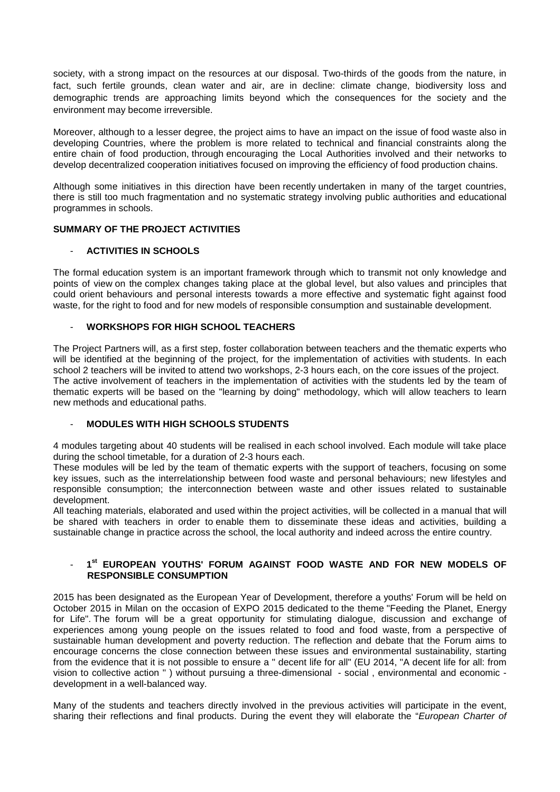society, with a strong impact on the resources at our disposal. Two-thirds of the goods from the nature, in fact, such fertile grounds, clean water and air, are in decline: climate change, biodiversity loss and demographic trends are approaching limits beyond which the consequences for the society and the environment may become irreversible.

Moreover, although to a lesser degree, the project aims to have an impact on the issue of food waste also in developing Countries, where the problem is more related to technical and financial constraints along the entire chain of food production, through encouraging the Local Authorities involved and their networks to develop decentralized cooperation initiatives focused on improving the efficiency of food production chains.

Although some initiatives in this direction have been recently undertaken in many of the target countries, there is still too much fragmentation and no systematic strategy involving public authorities and educational programmes in schools.

# **SUMMARY OF THE PROJECT ACTIVITIES**

## - **ACTIVITIES IN SCHOOLS**

The formal education system is an important framework through which to transmit not only knowledge and points of view on the complex changes taking place at the global level, but also values and principles that could orient behaviours and personal interests towards a more effective and systematic fight against food waste, for the right to food and for new models of responsible consumption and sustainable development.

# - **WORKSHOPS FOR HIGH SCHOOL TEACHERS**

The Project Partners will, as a first step, foster collaboration between teachers and the thematic experts who will be identified at the beginning of the project, for the implementation of activities with students. In each school 2 teachers will be invited to attend two workshops, 2-3 hours each, on the core issues of the project. The active involvement of teachers in the implementation of activities with the students led by the team of thematic experts will be based on the "learning by doing" methodology, which will allow teachers to learn new methods and educational paths.

## - **MODULES WITH HIGH SCHOOLS STUDENTS**

4 modules targeting about 40 students will be realised in each school involved. Each module will take place during the school timetable, for a duration of 2-3 hours each.

These modules will be led by the team of thematic experts with the support of teachers, focusing on some key issues, such as the interrelationship between food waste and personal behaviours; new lifestyles and responsible consumption; the interconnection between waste and other issues related to sustainable development.

All teaching materials, elaborated and used within the project activities, will be collected in a manual that will be shared with teachers in order to enable them to disseminate these ideas and activities, building a sustainable change in practice across the school, the local authority and indeed across the entire country.

# - **1 st EUROPEAN YOUTHS' FORUM AGAINST FOOD WASTE AND FOR NEW MODELS OF RESPONSIBLE CONSUMPTION**

2015 has been designated as the European Year of Development, therefore a youths' Forum will be held on October 2015 in Milan on the occasion of EXPO 2015 dedicated to the theme "Feeding the Planet, Energy for Life". The forum will be a great opportunity for stimulating dialogue, discussion and exchange of experiences among young people on the issues related to food and food waste, from a perspective of sustainable human development and poverty reduction. The reflection and debate that the Forum aims to encourage concerns the close connection between these issues and environmental sustainability, starting from the evidence that it is not possible to ensure a " decent life for all" (EU 2014, "A decent life for all: from vision to collective action " ) without pursuing a three-dimensional - social , environmental and economic development in a well-balanced way.

Many of the students and teachers directly involved in the previous activities will participate in the event, sharing their reflections and final products. During the event they will elaborate the "European Charter of